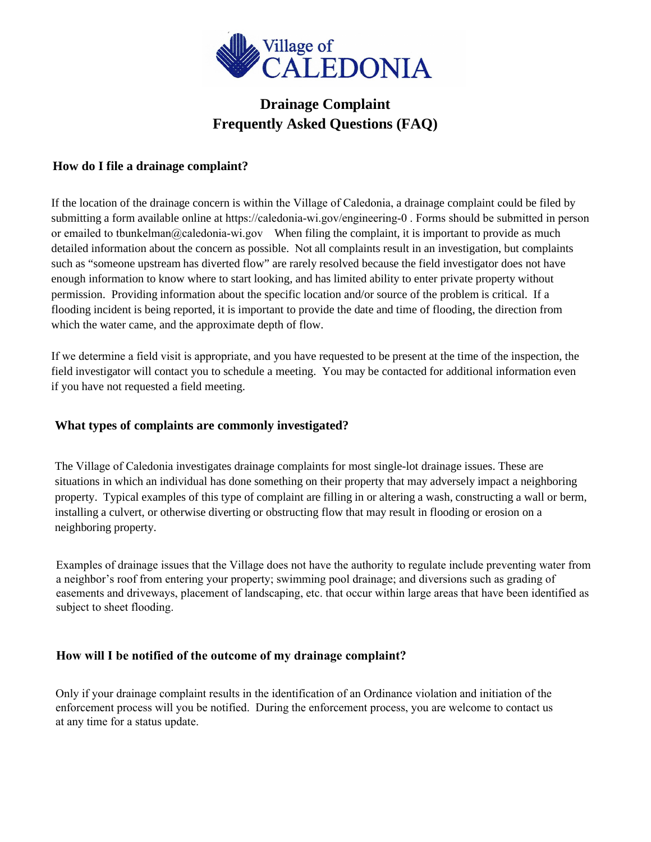

# **Drainage Complaint Frequently Asked Questions (FAQ)**

### **How do I file a drainage complaint?**

If the location of the drainage concern is within the Village of Caledonia, a drainage complaint could be filed by submitting a form available online at <https://caledonia-wi.gov/engineering-0> . Forms should be submitted in person or emailed to tbunkelman[@caledonia-wi.gov](mailto:tlazcano@caledonia-wi.gov?subject=drainage complaint) When filing the complaint, it is important to provide as much detailed information about the concern as possible. Not all complaints result in an investigation, but complaints such as "someone upstream has diverted flow" are rarely resolved because the field investigator does not have enough information to know where to start looking, and has limited ability to enter private property without permission. Providing information about the specific location and/or source of the problem is critical. If a flooding incident is being reported, it is important to provide the date and time of flooding, the direction from which the water came, and the approximate depth of flow.

If we determine a field visit is appropriate, and you have requested to be present at the time of the inspection, the field investigator will contact you to schedule a meeting. You may be contacted for additional information even if you have not requested a field meeting.

#### **What types of complaints are commonly investigated?**

The Village of Caledonia investigates drainage complaints for most single-lot drainage issues. These are situations in which an individual has done something on their property that may adversely impact a neighboring property. Typical examples of this type of complaint are filling in or altering a wash, constructing a wall or berm, installing a culvert, or otherwise diverting or obstructing flow that may result in flooding or erosion on a neighboring property.

Examples of drainage issues that the Village does not have the authority to regulate include preventing water from a neighbor's roof from entering your property; swimming pool drainage; and diversions such as grading of easements and driveways, placement of landscaping, etc. that occur within large areas that have been identified as subject to sheet flooding.

#### **How will I be notified of the outcome of my drainage complaint?**

Only if your drainage complaint results in the identification of an Ordinance violation and initiation of the enforcement process will you be notified. During the enforcement process, you are welcome to contact us at any time for a status update.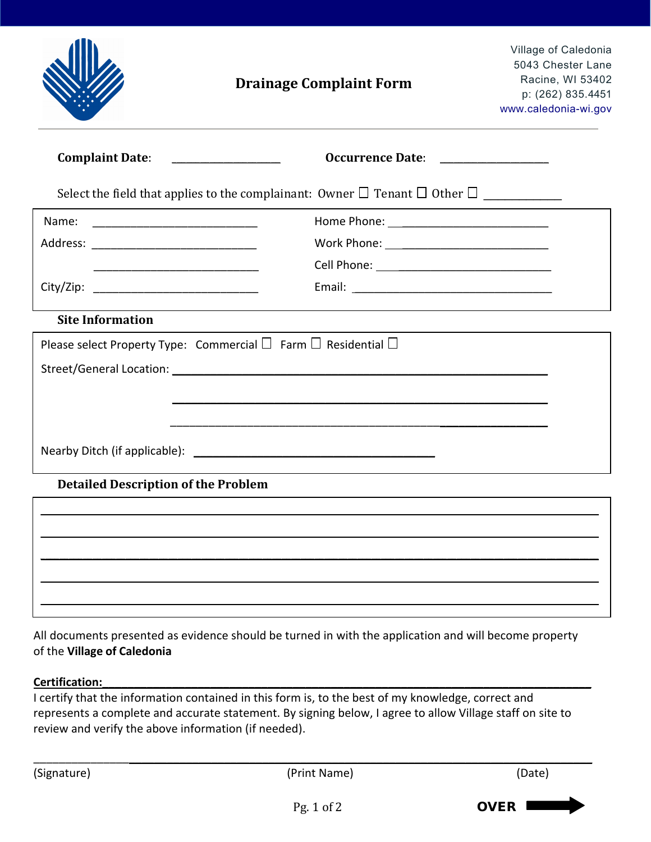|                                            | <b>Drainage Complaint Form</b>                                                | Village of Caledonia<br>5043 Chester Lane<br>Racine, WI 53402<br>p: (262) 835.4451<br>www.caledonia-wi.gov |  |  |  |  |  |  |
|--------------------------------------------|-------------------------------------------------------------------------------|------------------------------------------------------------------------------------------------------------|--|--|--|--|--|--|
| <b>Complaint Date:</b>                     | Occurrence Date:                                                              |                                                                                                            |  |  |  |  |  |  |
|                                            |                                                                               |                                                                                                            |  |  |  |  |  |  |
| Name:                                      |                                                                               |                                                                                                            |  |  |  |  |  |  |
| Address: ________________________________  | Work Phone: _________________________________                                 |                                                                                                            |  |  |  |  |  |  |
|                                            |                                                                               |                                                                                                            |  |  |  |  |  |  |
|                                            |                                                                               |                                                                                                            |  |  |  |  |  |  |
| <b>Site Information</b>                    |                                                                               |                                                                                                            |  |  |  |  |  |  |
|                                            | Please select Property Type: Commercial $\Box$ Farm $\Box$ Residential $\Box$ |                                                                                                            |  |  |  |  |  |  |
|                                            |                                                                               |                                                                                                            |  |  |  |  |  |  |
|                                            |                                                                               |                                                                                                            |  |  |  |  |  |  |
|                                            |                                                                               |                                                                                                            |  |  |  |  |  |  |
|                                            |                                                                               |                                                                                                            |  |  |  |  |  |  |
|                                            |                                                                               |                                                                                                            |  |  |  |  |  |  |
| <b>Detailed Description of the Problem</b> |                                                                               |                                                                                                            |  |  |  |  |  |  |
|                                            |                                                                               |                                                                                                            |  |  |  |  |  |  |
|                                            |                                                                               |                                                                                                            |  |  |  |  |  |  |
|                                            |                                                                               |                                                                                                            |  |  |  |  |  |  |
|                                            |                                                                               |                                                                                                            |  |  |  |  |  |  |

All documents presented as evidence should be turned in with the application and will become property of the **Village of Caledonia**

\_\_\_\_\_\_\_\_\_\_\_\_\_\_\_\_\_\_\_\_\_\_\_\_\_\_\_\_\_\_\_\_\_\_\_\_\_\_\_\_\_\_\_\_\_\_\_\_\_\_\_\_\_\_\_\_\_\_\_\_\_\_\_\_\_\_\_\_\_\_\_\_\_\_\_\_\_\_\_\_\_\_\_\_\_\_\_\_\_\_\_\_\_\_\_\_\_\_\_\_\_\_\_\_\_\_\_\_\_\_\_\_\_\_\_\_\_\_

## **Certification:\_\_\_\_\_\_\_\_\_\_\_\_\_\_\_\_\_\_\_\_\_\_\_\_\_\_\_\_\_\_\_\_\_\_\_\_\_\_\_\_\_\_\_\_\_\_\_\_\_\_\_\_\_\_\_\_\_\_\_\_\_\_\_\_\_\_\_\_\_\_\_\_\_\_\_\_\_**

I certify that the information contained in this form is, to the best of my knowledge, correct and represents a complete and accurate statement. By signing below, I agree to allow Village staff on site to review and verify the above information (if needed).

\_\_\_\_\_\_\_\_\_\_\_\_\_\_\_\_\_\_\_\_\_\_\_\_\_\_\_\_\_\_\_\_\_\_\_\_\_\_\_\_\_\_\_\_\_\_\_\_\_\_\_\_\_\_\_\_\_\_\_\_\_\_\_\_\_\_\_\_\_\_\_\_\_\_\_\_\_\_\_\_\_\_\_\_\_\_\_\_